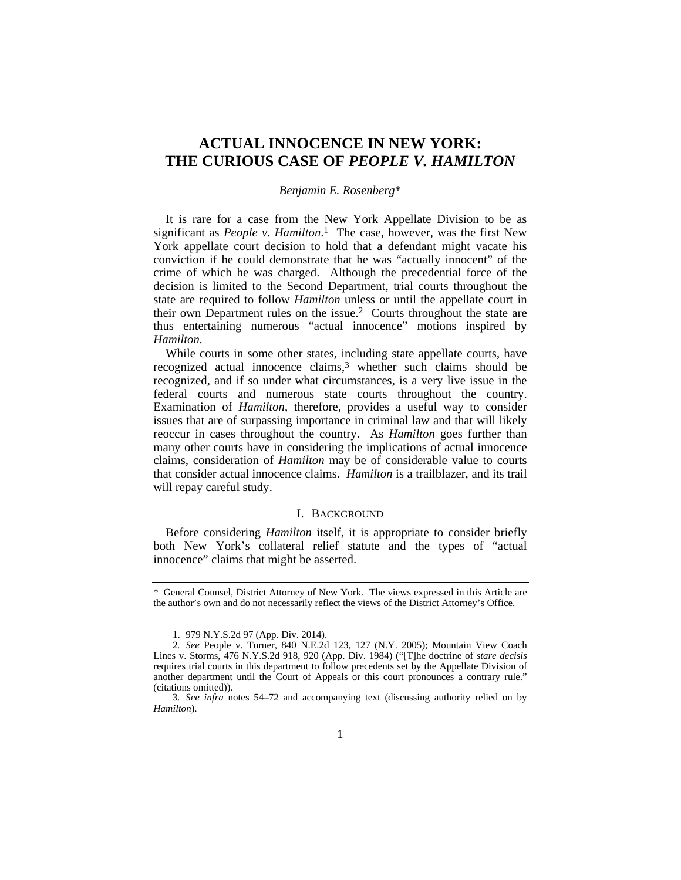# **ACTUAL INNOCENCE IN NEW YORK: THE CURIOUS CASE OF** *PEOPLE V. HAMILTON*

# *Benjamin E. Rosenberg*\*

It is rare for a case from the New York Appellate Division to be as significant as *People v. Hamilton*. 1 The case, however, was the first New York appellate court decision to hold that a defendant might vacate his conviction if he could demonstrate that he was "actually innocent" of the crime of which he was charged. Although the precedential force of the decision is limited to the Second Department, trial courts throughout the state are required to follow *Hamilton* unless or until the appellate court in their own Department rules on the issue.2 Courts throughout the state are thus entertaining numerous "actual innocence" motions inspired by *Hamilton.* 

While courts in some other states, including state appellate courts, have recognized actual innocence claims,<sup>3</sup> whether such claims should be recognized, and if so under what circumstances, is a very live issue in the federal courts and numerous state courts throughout the country. Examination of *Hamilton*, therefore, provides a useful way to consider issues that are of surpassing importance in criminal law and that will likely reoccur in cases throughout the country. As *Hamilton* goes further than many other courts have in considering the implications of actual innocence claims, consideration of *Hamilton* may be of considerable value to courts that consider actual innocence claims. *Hamilton* is a trailblazer, and its trail will repay careful study.

# I. BACKGROUND

Before considering *Hamilton* itself, it is appropriate to consider briefly both New York's collateral relief statute and the types of "actual innocence" claims that might be asserted.

<sup>\*</sup> General Counsel, District Attorney of New York. The views expressed in this Article are the author's own and do not necessarily reflect the views of the District Attorney's Office.

 <sup>1. 979</sup> N.Y.S.2d 97 (App. Div. 2014).

<sup>2</sup>*. See* People v. Turner, 840 N.E.2d 123, 127 (N.Y. 2005); Mountain View Coach Lines v. Storms, 476 N.Y.S.2d 918, 920 (App. Div. 1984) ("[T]he doctrine of *stare decisis* requires trial courts in this department to follow precedents set by the Appellate Division of another department until the Court of Appeals or this court pronounces a contrary rule." (citations omitted)).

<sup>3</sup>*. See infra* notes 54–72 and accompanying text (discussing authority relied on by *Hamilton*).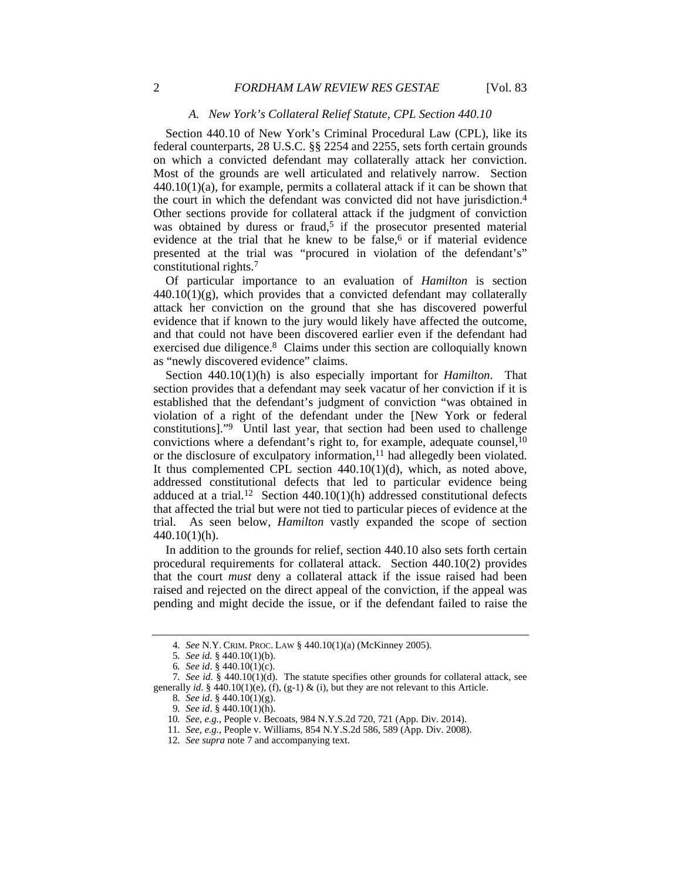# *A. New York's Collateral Relief Statute, CPL Section 440.10*

Section 440.10 of New York's Criminal Procedural Law (CPL), like its federal counterparts, 28 U.S.C. §§ 2254 and 2255, sets forth certain grounds on which a convicted defendant may collaterally attack her conviction. Most of the grounds are well articulated and relatively narrow. Section  $440.10(1)(a)$ , for example, permits a collateral attack if it can be shown that the court in which the defendant was convicted did not have jurisdiction.4 Other sections provide for collateral attack if the judgment of conviction was obtained by duress or fraud,<sup>5</sup> if the prosecutor presented material evidence at the trial that he knew to be false,<sup>6</sup> or if material evidence presented at the trial was "procured in violation of the defendant's" constitutional rights.7

Of particular importance to an evaluation of *Hamilton* is section  $440.10(1)(g)$ , which provides that a convicted defendant may collaterally attack her conviction on the ground that she has discovered powerful evidence that if known to the jury would likely have affected the outcome, and that could not have been discovered earlier even if the defendant had exercised due diligence.8 Claims under this section are colloquially known as "newly discovered evidence" claims.

Section 440.10(1)(h) is also especially important for *Hamilton*. That section provides that a defendant may seek vacatur of her conviction if it is established that the defendant's judgment of conviction "was obtained in violation of a right of the defendant under the [New York or federal constitutions]."9 Until last year, that section had been used to challenge convictions where a defendant's right to, for example, adequate counsel,  $^{10}$ or the disclosure of exculpatory information,<sup>11</sup> had allegedly been violated. It thus complemented CPL section 440.10(1)(d), which, as noted above, addressed constitutional defects that led to particular evidence being adduced at a trial.<sup>12</sup> Section 440.10(1)(h) addressed constitutional defects that affected the trial but were not tied to particular pieces of evidence at the trial. As seen below, *Hamilton* vastly expanded the scope of section 440.10(1)(h).

In addition to the grounds for relief, section 440.10 also sets forth certain procedural requirements for collateral attack. Section 440.10(2) provides that the court *must* deny a collateral attack if the issue raised had been raised and rejected on the direct appeal of the conviction, if the appeal was pending and might decide the issue, or if the defendant failed to raise the

<sup>4</sup>*. See* N.Y. CRIM. PROC. LAW § 440.10(1)(a) (McKinney 2005).

<sup>5</sup>*. See id.* § 440.10(1)(b).

<sup>6</sup>*. See id*. § 440.10(1)(c).

<sup>7</sup>*. See id*. § 440.10(1)(d). The statute specifies other grounds for collateral attack, see generally *id*. § 440.10(1)(e), (f), (g-1) & (i), but they are not relevant to this Article.

<sup>8</sup>*. See id*. § 440.10(1)(g).

<sup>9</sup>*. See id*. § 440.10(1)(h).

<sup>10</sup>*. See, e.g.*, People v. Becoats, 984 N.Y.S.2d 720, 721 (App. Div. 2014).

<sup>11</sup>*. See, e.g.*, People v. Williams, 854 N.Y.S.2d 586, 589 (App. Div. 2008).

<sup>12</sup>*. See supra* note 7 and accompanying text.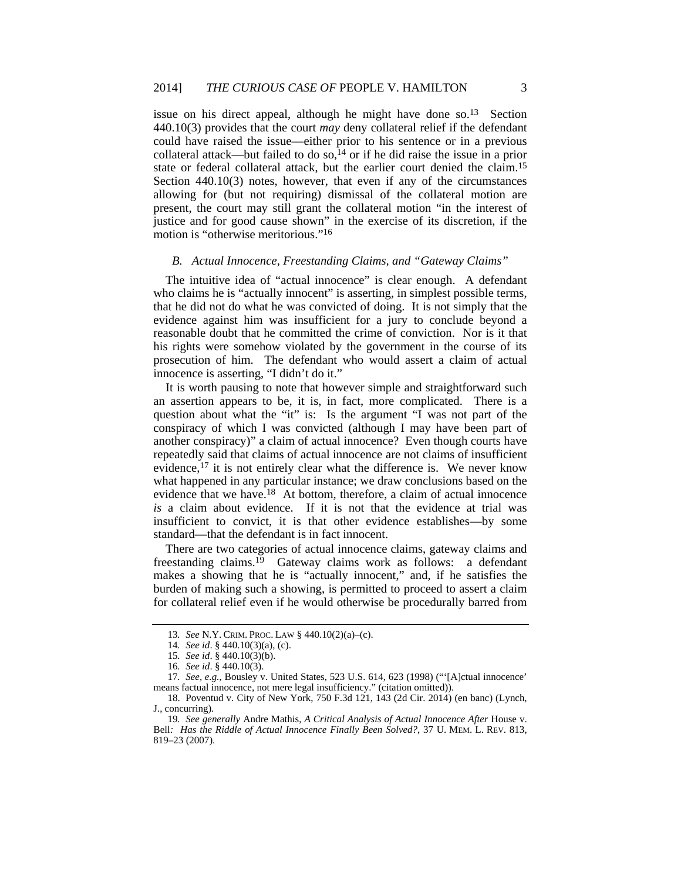issue on his direct appeal, although he might have done so.13 Section 440.10(3) provides that the court *may* deny collateral relief if the defendant could have raised the issue—either prior to his sentence or in a previous collateral attack—but failed to do so,  $14$  or if he did raise the issue in a prior state or federal collateral attack, but the earlier court denied the claim.15 Section 440.10(3) notes, however, that even if any of the circumstances allowing for (but not requiring) dismissal of the collateral motion are present, the court may still grant the collateral motion "in the interest of justice and for good cause shown" in the exercise of its discretion, if the motion is "otherwise meritorious."16

#### *B. Actual Innocence, Freestanding Claims, and "Gateway Claims"*

The intuitive idea of "actual innocence" is clear enough. A defendant who claims he is "actually innocent" is asserting, in simplest possible terms, that he did not do what he was convicted of doing. It is not simply that the evidence against him was insufficient for a jury to conclude beyond a reasonable doubt that he committed the crime of conviction. Nor is it that his rights were somehow violated by the government in the course of its prosecution of him. The defendant who would assert a claim of actual innocence is asserting, "I didn't do it."

It is worth pausing to note that however simple and straightforward such an assertion appears to be, it is, in fact, more complicated. There is a question about what the "it" is: Is the argument "I was not part of the conspiracy of which I was convicted (although I may have been part of another conspiracy)" a claim of actual innocence? Even though courts have repeatedly said that claims of actual innocence are not claims of insufficient evidence,<sup>17</sup> it is not entirely clear what the difference is. We never know what happened in any particular instance; we draw conclusions based on the evidence that we have.<sup>18</sup> At bottom, therefore, a claim of actual innocence *is* a claim about evidence. If it is not that the evidence at trial was insufficient to convict, it is that other evidence establishes—by some standard—that the defendant is in fact innocent.

There are two categories of actual innocence claims, gateway claims and freestanding claims.<sup>19</sup> Gateway claims work as follows: a defendant makes a showing that he is "actually innocent," and, if he satisfies the burden of making such a showing, is permitted to proceed to assert a claim for collateral relief even if he would otherwise be procedurally barred from

<sup>13</sup>*. See* N.Y. CRIM. PROC. LAW § 440.10(2)(a)–(c).

<sup>14</sup>*. See id*. § 440.10(3)(a), (c).

<sup>15</sup>*. See id*. § 440.10(3)(b).

<sup>16</sup>*. See id*. § 440.10(3).

<sup>17</sup>*. See, e.g.*, Bousley v. United States, 523 U.S. 614, 623 (1998) ("'[A]ctual innocence' means factual innocence, not mere legal insufficiency." (citation omitted)).

 <sup>18.</sup> Poventud v. City of New York, 750 F.3d 121, 143 (2d Cir. 2014) (en banc) (Lynch, J., concurring).

<sup>19</sup>*. See generally* Andre Mathis, *A Critical Analysis of Actual Innocence After* House v. Bell*: Has the Riddle of Actual Innocence Finally Been Solved?*, 37 U. MEM. L. REV. 813, 819–23 (2007).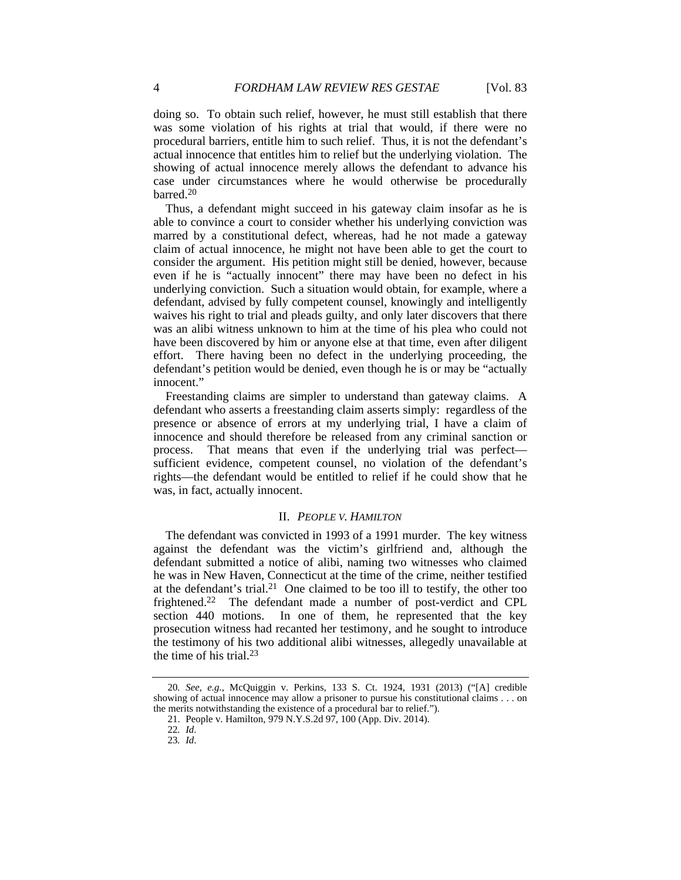doing so. To obtain such relief, however, he must still establish that there was some violation of his rights at trial that would, if there were no procedural barriers, entitle him to such relief. Thus, it is not the defendant's actual innocence that entitles him to relief but the underlying violation. The showing of actual innocence merely allows the defendant to advance his case under circumstances where he would otherwise be procedurally barred.20

Thus, a defendant might succeed in his gateway claim insofar as he is able to convince a court to consider whether his underlying conviction was marred by a constitutional defect, whereas, had he not made a gateway claim of actual innocence, he might not have been able to get the court to consider the argument. His petition might still be denied, however, because even if he is "actually innocent" there may have been no defect in his underlying conviction. Such a situation would obtain, for example, where a defendant, advised by fully competent counsel, knowingly and intelligently waives his right to trial and pleads guilty, and only later discovers that there was an alibi witness unknown to him at the time of his plea who could not have been discovered by him or anyone else at that time, even after diligent effort. There having been no defect in the underlying proceeding, the defendant's petition would be denied, even though he is or may be "actually innocent"

Freestanding claims are simpler to understand than gateway claims. A defendant who asserts a freestanding claim asserts simply: regardless of the presence or absence of errors at my underlying trial, I have a claim of innocence and should therefore be released from any criminal sanction or process. That means that even if the underlying trial was perfect sufficient evidence, competent counsel, no violation of the defendant's rights—the defendant would be entitled to relief if he could show that he was, in fact, actually innocent.

#### II. *PEOPLE V. HAMILTON*

The defendant was convicted in 1993 of a 1991 murder. The key witness against the defendant was the victim's girlfriend and, although the defendant submitted a notice of alibi, naming two witnesses who claimed he was in New Haven, Connecticut at the time of the crime, neither testified at the defendant's trial.<sup>21</sup> One claimed to be too ill to testify, the other too frightened.22 The defendant made a number of post-verdict and CPL section 440 motions. In one of them, he represented that the key prosecution witness had recanted her testimony, and he sought to introduce the testimony of his two additional alibi witnesses, allegedly unavailable at the time of his trial.23

<sup>20</sup>*. See, e.g.*, McQuiggin v. Perkins, 133 S. Ct. 1924, 1931 (2013) ("[A] credible showing of actual innocence may allow a prisoner to pursue his constitutional claims . . . on the merits notwithstanding the existence of a procedural bar to relief.").

 <sup>21.</sup> People v. Hamilton, 979 N.Y.S.2d 97, 100 (App. Div. 2014).

<sup>22</sup>*. Id*.

<sup>23</sup>*. Id*.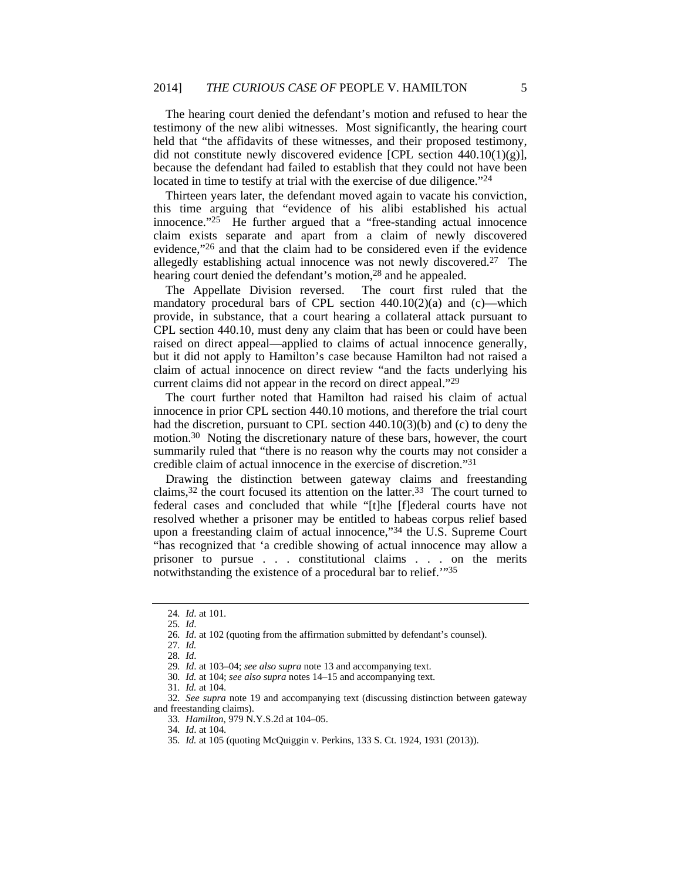The hearing court denied the defendant's motion and refused to hear the testimony of the new alibi witnesses. Most significantly, the hearing court held that "the affidavits of these witnesses, and their proposed testimony, did not constitute newly discovered evidence [CPL section  $440.10(1)(g)$ ], because the defendant had failed to establish that they could not have been located in time to testify at trial with the exercise of due diligence."<sup>24</sup>

Thirteen years later, the defendant moved again to vacate his conviction, this time arguing that "evidence of his alibi established his actual innocence. $125$  He further argued that a "free-standing actual innocence claim exists separate and apart from a claim of newly discovered evidence,"26 and that the claim had to be considered even if the evidence allegedly establishing actual innocence was not newly discovered.27 The hearing court denied the defendant's motion,28 and he appealed.

The Appellate Division reversed. The court first ruled that the mandatory procedural bars of CPL section  $440.10(2)(a)$  and  $(c)$ —which provide, in substance, that a court hearing a collateral attack pursuant to CPL section 440.10, must deny any claim that has been or could have been raised on direct appeal—applied to claims of actual innocence generally, but it did not apply to Hamilton's case because Hamilton had not raised a claim of actual innocence on direct review "and the facts underlying his current claims did not appear in the record on direct appeal."29

The court further noted that Hamilton had raised his claim of actual innocence in prior CPL section 440.10 motions, and therefore the trial court had the discretion, pursuant to CPL section 440.10(3)(b) and (c) to deny the motion.30 Noting the discretionary nature of these bars, however, the court summarily ruled that "there is no reason why the courts may not consider a credible claim of actual innocence in the exercise of discretion."31

Drawing the distinction between gateway claims and freestanding claims,32 the court focused its attention on the latter.33 The court turned to federal cases and concluded that while "[t]he [f]ederal courts have not resolved whether a prisoner may be entitled to habeas corpus relief based upon a freestanding claim of actual innocence,"34 the U.S. Supreme Court "has recognized that 'a credible showing of actual innocence may allow a prisoner to pursue . . . constitutional claims . . . on the merits notwithstanding the existence of a procedural bar to relief.<sup>'"35</sup>

27*. Id.*

30*. Id.* at 104; *see also supra* notes 14–15 and accompanying text.

32*. See supra* note 19 and accompanying text (discussing distinction between gateway and freestanding claims).

<sup>24</sup>*. Id*. at 101.

<sup>25</sup>*. Id*.

<sup>26</sup>*. Id*. at 102 (quoting from the affirmation submitted by defendant's counsel).

<sup>28</sup>*. Id*.

<sup>29</sup>*. Id*. at 103–04; *see also supra* note 13 and accompanying text.

<sup>31</sup>*. Id.* at 104.

<sup>33</sup>*. Hamilton*, 979 N.Y.S.2d at 104–05.

<sup>34</sup>*. Id*. at 104.

<sup>35</sup>*. Id.* at 105 (quoting McQuiggin v. Perkins, 133 S. Ct. 1924, 1931 (2013)).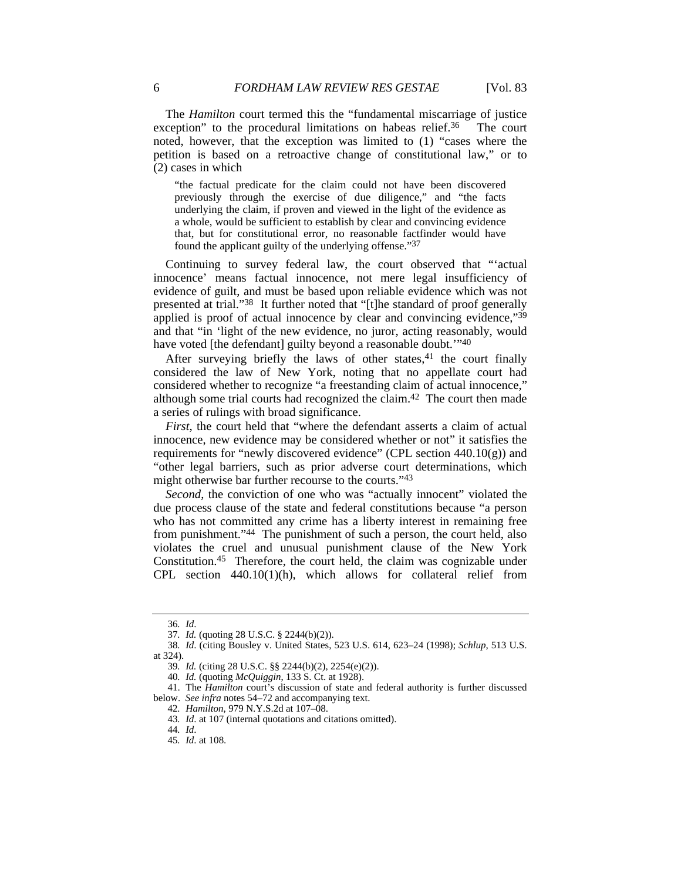The *Hamilton* court termed this the "fundamental miscarriage of justice exception" to the procedural limitations on habeas relief.<sup>36</sup> The court noted, however, that the exception was limited to (1) "cases where the petition is based on a retroactive change of constitutional law," or to (2) cases in which

"the factual predicate for the claim could not have been discovered previously through the exercise of due diligence," and "the facts underlying the claim, if proven and viewed in the light of the evidence as a whole, would be sufficient to establish by clear and convincing evidence that, but for constitutional error, no reasonable factfinder would have found the applicant guilty of the underlying offense."37

Continuing to survey federal law, the court observed that "'actual innocence' means factual innocence, not mere legal insufficiency of evidence of guilt, and must be based upon reliable evidence which was not presented at trial."38 It further noted that "[t]he standard of proof generally applied is proof of actual innocence by clear and convincing evidence,"39 and that "in 'light of the new evidence, no juror, acting reasonably, would have voted [the defendant] guilty beyond a reasonable doubt."<sup>40</sup>

After surveying briefly the laws of other states,  $41$  the court finally considered the law of New York, noting that no appellate court had considered whether to recognize "a freestanding claim of actual innocence," although some trial courts had recognized the claim.42 The court then made a series of rulings with broad significance.

*First*, the court held that "where the defendant asserts a claim of actual innocence, new evidence may be considered whether or not" it satisfies the requirements for "newly discovered evidence" (CPL section  $440.10(g)$ ) and "other legal barriers, such as prior adverse court determinations, which might otherwise bar further recourse to the courts."43

Second, the conviction of one who was "actually innocent" violated the due process clause of the state and federal constitutions because "a person who has not committed any crime has a liberty interest in remaining free from punishment."44 The punishment of such a person, the court held, also violates the cruel and unusual punishment clause of the New York Constitution.45 Therefore, the court held, the claim was cognizable under CPL section 440.10(1)(h), which allows for collateral relief from

<sup>36</sup>*. Id*.

<sup>37</sup>*. Id.* (quoting 28 U.S.C. § 2244(b)(2)).

<sup>38</sup>*. Id*. (citing Bousley v. United States, 523 U.S. 614, 623–24 (1998); *Schlup*, 513 U.S. at 324).

<sup>39</sup>*. Id.* (citing 28 U.S.C. §§ 2244(b)(2), 2254(e)(2)).

<sup>40</sup>*. Id.* (quoting *McQuiggin*, 133 S. Ct. at 1928).

 <sup>41.</sup> The *Hamilton* court's discussion of state and federal authority is further discussed below. *See infra* notes 54–72 and accompanying text.

<sup>42</sup>*. Hamilton*, 979 N.Y.S.2d at 107–08.

<sup>43</sup>*. Id*. at 107 (internal quotations and citations omitted).

<sup>44</sup>*. Id*.

<sup>45</sup>*. Id*. at 108.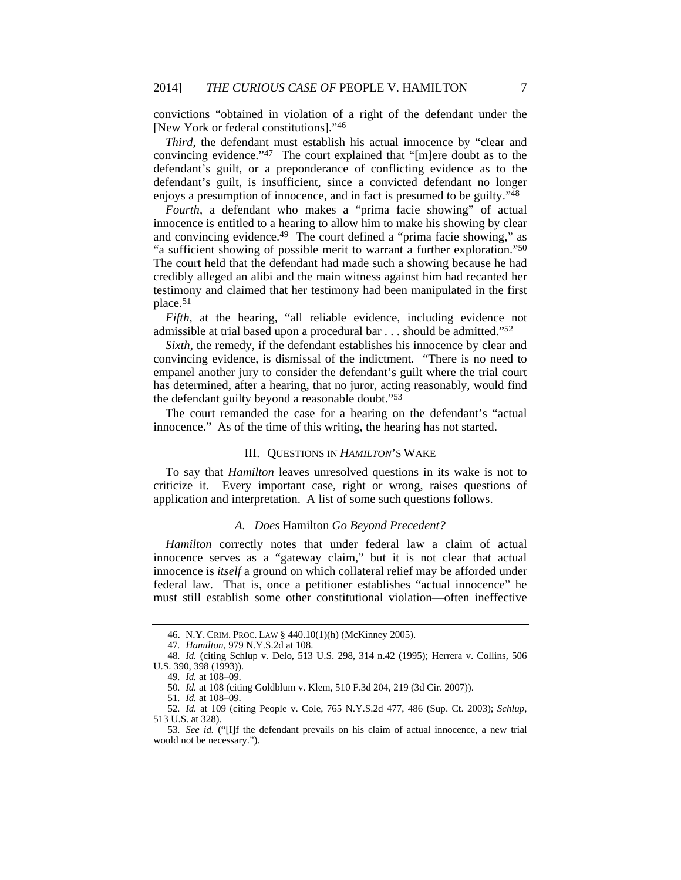convictions "obtained in violation of a right of the defendant under the [New York or federal constitutions]."46

*Third*, the defendant must establish his actual innocence by "clear and convincing evidence."47 The court explained that "[m]ere doubt as to the defendant's guilt, or a preponderance of conflicting evidence as to the defendant's guilt, is insufficient, since a convicted defendant no longer enjoys a presumption of innocence, and in fact is presumed to be guilty."<sup>48</sup>

*Fourth*, a defendant who makes a "prima facie showing" of actual innocence is entitled to a hearing to allow him to make his showing by clear and convincing evidence.49 The court defined a "prima facie showing," as "a sufficient showing of possible merit to warrant a further exploration."<sup>50</sup> The court held that the defendant had made such a showing because he had credibly alleged an alibi and the main witness against him had recanted her testimony and claimed that her testimony had been manipulated in the first place.51

*Fifth*, at the hearing, "all reliable evidence, including evidence not admissible at trial based upon a procedural bar . . . should be admitted."52

*Sixth*, the remedy, if the defendant establishes his innocence by clear and convincing evidence, is dismissal of the indictment. "There is no need to empanel another jury to consider the defendant's guilt where the trial court has determined, after a hearing, that no juror, acting reasonably, would find the defendant guilty beyond a reasonable doubt."53

The court remanded the case for a hearing on the defendant's "actual innocence." As of the time of this writing, the hearing has not started.

#### III. QUESTIONS IN *HAMILTON*'S WAKE

To say that *Hamilton* leaves unresolved questions in its wake is not to criticize it. Every important case, right or wrong, raises questions of application and interpretation. A list of some such questions follows.

#### *A. Does* Hamilton *Go Beyond Precedent?*

*Hamilton* correctly notes that under federal law a claim of actual innocence serves as a "gateway claim," but it is not clear that actual innocence is *itself* a ground on which collateral relief may be afforded under federal law. That is, once a petitioner establishes "actual innocence" he must still establish some other constitutional violation—often ineffective

 <sup>46.</sup> N.Y. CRIM. PROC. LAW § 440.10(1)(h) (McKinney 2005).

<sup>47</sup>*. Hamilton*, 979 N.Y.S.2d at 108.

<sup>48</sup>*. Id.* (citing Schlup v. Delo, 513 U.S. 298, 314 n.42 (1995); Herrera v. Collins, 506 U.S. 390, 398 (1993)).

<sup>49</sup>*. Id.* at 108–09.

<sup>50</sup>*. Id.* at 108 (citing Goldblum v. Klem, 510 F.3d 204, 219 (3d Cir. 2007)).

<sup>51</sup>*. Id.* at 108–09.

<sup>52</sup>*. Id.* at 109 (citing People v. Cole, 765 N.Y.S.2d 477, 486 (Sup. Ct. 2003); *Schlup*, 513 U.S. at 328).

<sup>53</sup>*. See id.* ("[I]f the defendant prevails on his claim of actual innocence, a new trial would not be necessary.").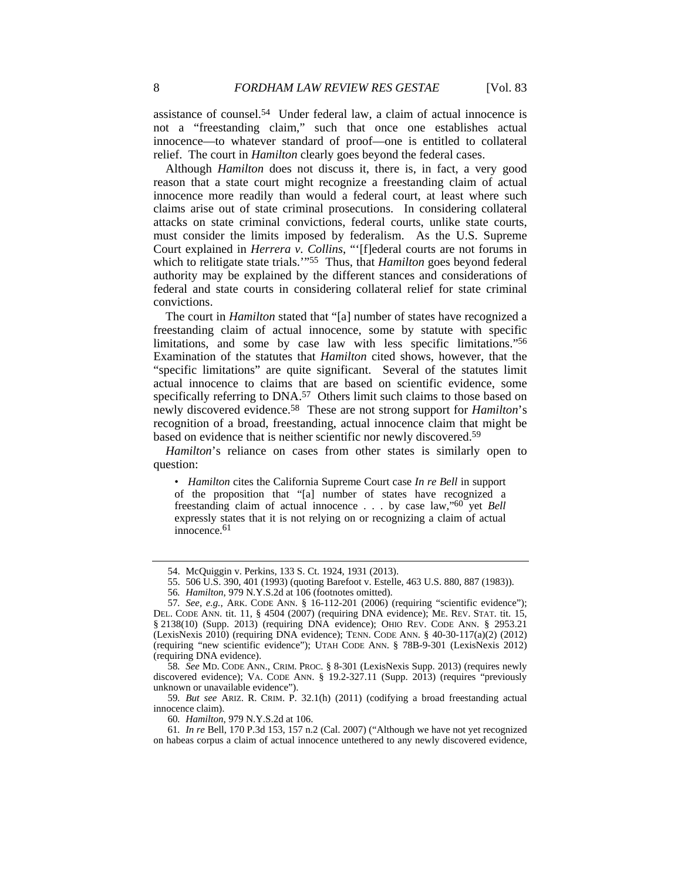assistance of counsel.54 Under federal law, a claim of actual innocence is not a "freestanding claim," such that once one establishes actual innocence—to whatever standard of proof—one is entitled to collateral relief. The court in *Hamilton* clearly goes beyond the federal cases.

Although *Hamilton* does not discuss it, there is, in fact, a very good reason that a state court might recognize a freestanding claim of actual innocence more readily than would a federal court, at least where such claims arise out of state criminal prosecutions. In considering collateral attacks on state criminal convictions, federal courts, unlike state courts, must consider the limits imposed by federalism. As the U.S. Supreme Court explained in *Herrera v. Collins*, "'[f]ederal courts are not forums in which to relitigate state trials.'"55 Thus, that *Hamilton* goes beyond federal authority may be explained by the different stances and considerations of federal and state courts in considering collateral relief for state criminal convictions.

The court in *Hamilton* stated that "[a] number of states have recognized a freestanding claim of actual innocence, some by statute with specific limitations, and some by case law with less specific limitations."56 Examination of the statutes that *Hamilton* cited shows, however, that the "specific limitations" are quite significant. Several of the statutes limit actual innocence to claims that are based on scientific evidence, some specifically referring to DNA.<sup>57</sup> Others limit such claims to those based on newly discovered evidence.58 These are not strong support for *Hamilton*'s recognition of a broad, freestanding, actual innocence claim that might be based on evidence that is neither scientific nor newly discovered.59

*Hamilton*'s reliance on cases from other states is similarly open to question:

• *Hamilton* cites the California Supreme Court case *In re Bell* in support of the proposition that "[a] number of states have recognized a freestanding claim of actual innocence . . . by case law,"60 yet *Bell* expressly states that it is not relying on or recognizing a claim of actual innocence.61

58*. See* MD. CODE ANN., CRIM. PROC. § 8-301 (LexisNexis Supp. 2013) (requires newly discovered evidence); VA. CODE ANN. § 19.2-327.11 (Supp. 2013) (requires "previously unknown or unavailable evidence").

59*. But see* ARIZ. R. CRIM. P. 32.1(h) (2011) (codifying a broad freestanding actual innocence claim).

60*. Hamilton*, 979 N.Y.S.2d at 106.

 <sup>54.</sup> McQuiggin v. Perkins, 133 S. Ct. 1924, 1931 (2013).

 <sup>55. 506</sup> U.S. 390, 401 (1993) (quoting Barefoot v. Estelle, 463 U.S. 880, 887 (1983)).

<sup>56</sup>*. Hamilton*, 979 N.Y.S.2d at 106 (footnotes omitted).

<sup>57</sup>*. See, e.g.*, ARK. CODE ANN. § 16-112-201 (2006) (requiring "scientific evidence"); DEL. CODE ANN. tit. 11, § 4504 (2007) (requiring DNA evidence); ME. REV. STAT. tit. 15, § 2138(10) (Supp. 2013) (requiring DNA evidence); OHIO REV. CODE ANN. § 2953.21 (LexisNexis 2010) (requiring DNA evidence); TENN. CODE ANN. § 40-30-117(a)(2) (2012) (requiring "new scientific evidence"); UTAH CODE ANN. § 78B-9-301 (LexisNexis 2012) (requiring DNA evidence).

<sup>61</sup>*. In re* Bell, 170 P.3d 153, 157 n.2 (Cal. 2007) ("Although we have not yet recognized on habeas corpus a claim of actual innocence untethered to any newly discovered evidence,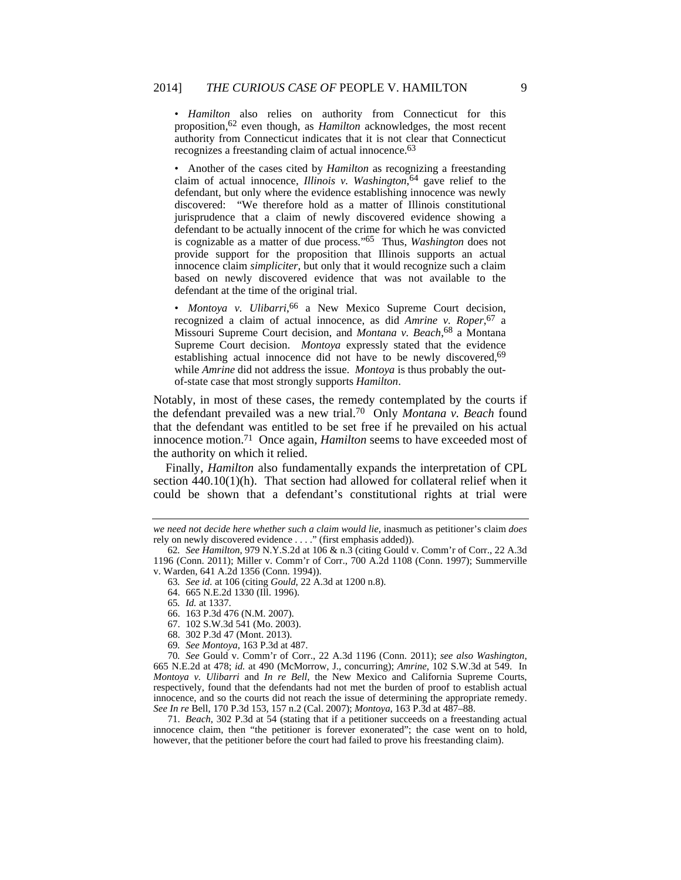• *Hamilton* also relies on authority from Connecticut for this proposition,62 even though, as *Hamilton* acknowledges, the most recent authority from Connecticut indicates that it is not clear that Connecticut recognizes a freestanding claim of actual innocence.<sup>63</sup>

• Another of the cases cited by *Hamilton* as recognizing a freestanding claim of actual innocence, *Illinois v. Washington*, 64 gave relief to the defendant, but only where the evidence establishing innocence was newly discovered: "We therefore hold as a matter of Illinois constitutional jurisprudence that a claim of newly discovered evidence showing a defendant to be actually innocent of the crime for which he was convicted is cognizable as a matter of due process."65 Thus, *Washington* does not provide support for the proposition that Illinois supports an actual innocence claim *simpliciter*, but only that it would recognize such a claim based on newly discovered evidence that was not available to the defendant at the time of the original trial.

• *Montoya v. Ulibarri*, 66 a New Mexico Supreme Court decision, recognized a claim of actual innocence, as did *Amrine v. Roper*, 67 a Missouri Supreme Court decision, and *Montana v. Beach*, 68 a Montana Supreme Court decision. *Montoya* expressly stated that the evidence establishing actual innocence did not have to be newly discovered,<sup>69</sup> while *Amrine* did not address the issue. *Montoya* is thus probably the outof-state case that most strongly supports *Hamilton*.

Notably, in most of these cases, the remedy contemplated by the courts if the defendant prevailed was a new trial.70 Only *Montana v. Beach* found that the defendant was entitled to be set free if he prevailed on his actual innocence motion.71 Once again, *Hamilton* seems to have exceeded most of the authority on which it relied.

Finally, *Hamilton* also fundamentally expands the interpretation of CPL section  $440.10(1)(h)$ . That section had allowed for collateral relief when it could be shown that a defendant's constitutional rights at trial were

- 66. 163 P.3d 476 (N.M. 2007).
- 67. 102 S.W.3d 541 (Mo. 2003).
- 68. 302 P.3d 47 (Mont. 2013).
- 69*. See Montoya*, 163 P.3d at 487.

70*. See* Gould v. Comm'r of Corr., 22 A.3d 1196 (Conn. 2011); *see also Washington*, 665 N.E.2d at 478; *id.* at 490 (McMorrow, J., concurring); *Amrine*, 102 S.W.3d at 549. In *Montoya v. Ulibarri* and *In re Bell*, the New Mexico and California Supreme Courts, respectively, found that the defendants had not met the burden of proof to establish actual innocence, and so the courts did not reach the issue of determining the appropriate remedy. *See In re* Bell, 170 P.3d 153, 157 n.2 (Cal. 2007); *Montoya*, 163 P.3d at 487–88.

 71. *Beach*, 302 P.3d at 54 (stating that if a petitioner succeeds on a freestanding actual innocence claim, then "the petitioner is forever exonerated"; the case went on to hold, however, that the petitioner before the court had failed to prove his freestanding claim).

*we need not decide here whether such a claim would lie*, inasmuch as petitioner's claim *does* rely on newly discovered evidence . . . ." (first emphasis added)).

<sup>62</sup>*. See Hamilton*, 979 N.Y.S.2d at 106 & n.3 (citing Gould v. Comm'r of Corr., 22 A.3d 1196 (Conn. 2011); Miller v. Comm'r of Corr., 700 A.2d 1108 (Conn. 1997); Summerville v. Warden, 641 A.2d 1356 (Conn. 1994)).

<sup>63</sup>*. See id.* at 106 (citing *Gould*, 22 A.3d at 1200 n.8).

 <sup>64. 665</sup> N.E.2d 1330 (Ill. 1996).

<sup>65</sup>*. Id.* at 1337.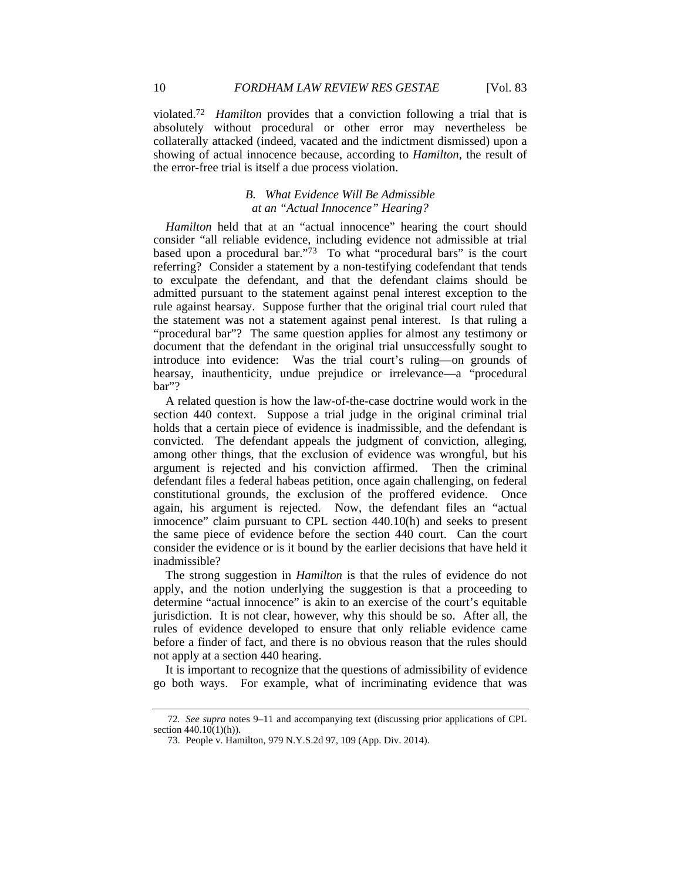violated.72 *Hamilton* provides that a conviction following a trial that is absolutely without procedural or other error may nevertheless be collaterally attacked (indeed, vacated and the indictment dismissed) upon a showing of actual innocence because, according to *Hamilton*, the result of the error-free trial is itself a due process violation.

# *B. What Evidence Will Be Admissible at an "Actual Innocence" Hearing?*

*Hamilton* held that at an "actual innocence" hearing the court should consider "all reliable evidence, including evidence not admissible at trial based upon a procedural bar."<sup>73</sup> To what "procedural bars" is the court referring? Consider a statement by a non-testifying codefendant that tends to exculpate the defendant, and that the defendant claims should be admitted pursuant to the statement against penal interest exception to the rule against hearsay. Suppose further that the original trial court ruled that the statement was not a statement against penal interest. Is that ruling a "procedural bar"? The same question applies for almost any testimony or document that the defendant in the original trial unsuccessfully sought to introduce into evidence: Was the trial court's ruling—on grounds of hearsay, inauthenticity, undue prejudice or irrelevance—a "procedural bar"?

A related question is how the law-of-the-case doctrine would work in the section 440 context. Suppose a trial judge in the original criminal trial holds that a certain piece of evidence is inadmissible, and the defendant is convicted. The defendant appeals the judgment of conviction, alleging, among other things, that the exclusion of evidence was wrongful, but his argument is rejected and his conviction affirmed. Then the criminal defendant files a federal habeas petition, once again challenging, on federal constitutional grounds, the exclusion of the proffered evidence. Once again, his argument is rejected. Now, the defendant files an "actual innocence" claim pursuant to CPL section 440.10(h) and seeks to present the same piece of evidence before the section 440 court. Can the court consider the evidence or is it bound by the earlier decisions that have held it inadmissible?

The strong suggestion in *Hamilton* is that the rules of evidence do not apply, and the notion underlying the suggestion is that a proceeding to determine "actual innocence" is akin to an exercise of the court's equitable jurisdiction. It is not clear, however, why this should be so. After all, the rules of evidence developed to ensure that only reliable evidence came before a finder of fact, and there is no obvious reason that the rules should not apply at a section 440 hearing.

It is important to recognize that the questions of admissibility of evidence go both ways. For example, what of incriminating evidence that was

<sup>72</sup>*. See supra* notes 9–11 and accompanying text (discussing prior applications of CPL section 440.10(1)(h)).

 <sup>73.</sup> People v. Hamilton, 979 N.Y.S.2d 97, 109 (App. Div. 2014).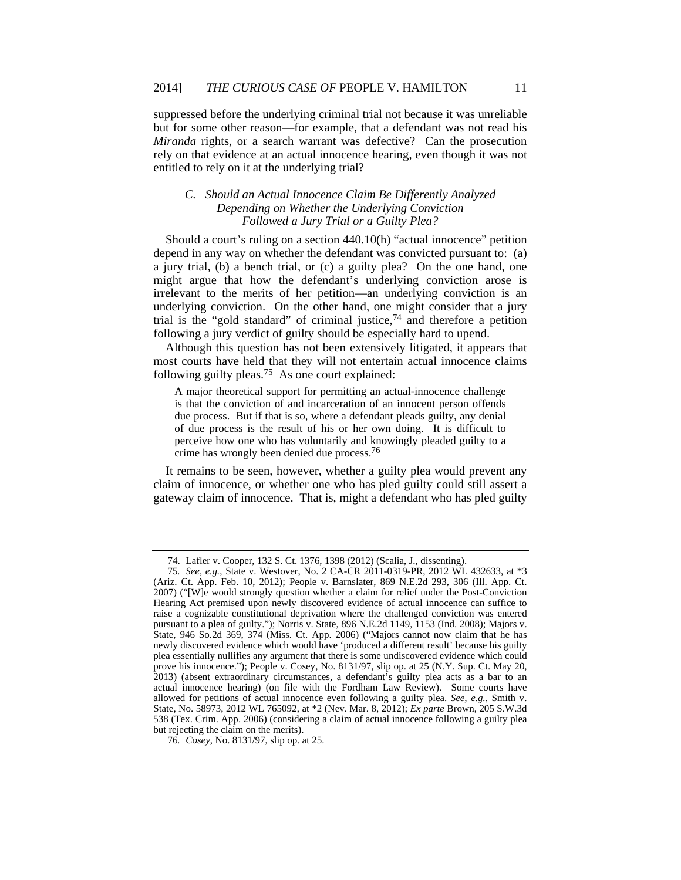suppressed before the underlying criminal trial not because it was unreliable but for some other reason—for example, that a defendant was not read his *Miranda* rights, or a search warrant was defective? Can the prosecution rely on that evidence at an actual innocence hearing, even though it was not entitled to rely on it at the underlying trial?

# *C. Should an Actual Innocence Claim Be Differently Analyzed Depending on Whether the Underlying Conviction Followed a Jury Trial or a Guilty Plea?*

Should a court's ruling on a section 440.10(h) "actual innocence" petition depend in any way on whether the defendant was convicted pursuant to: (a) a jury trial, (b) a bench trial, or (c) a guilty plea? On the one hand, one might argue that how the defendant's underlying conviction arose is irrelevant to the merits of her petition—an underlying conviction is an underlying conviction. On the other hand, one might consider that a jury trial is the "gold standard" of criminal justice,74 and therefore a petition following a jury verdict of guilty should be especially hard to upend.

Although this question has not been extensively litigated, it appears that most courts have held that they will not entertain actual innocence claims following guilty pleas.75 As one court explained:

A major theoretical support for permitting an actual-innocence challenge is that the conviction of and incarceration of an innocent person offends due process. But if that is so, where a defendant pleads guilty, any denial of due process is the result of his or her own doing. It is difficult to perceive how one who has voluntarily and knowingly pleaded guilty to a crime has wrongly been denied due process.76

It remains to be seen, however, whether a guilty plea would prevent any claim of innocence, or whether one who has pled guilty could still assert a gateway claim of innocence. That is, might a defendant who has pled guilty

 <sup>74.</sup> Lafler v. Cooper, 132 S. Ct. 1376, 1398 (2012) (Scalia, J., dissenting).

<sup>75</sup>*. See, e.g.*, State v. Westover, No. 2 CA-CR 2011-0319-PR, 2012 WL 432633, at \*3 (Ariz. Ct. App. Feb. 10, 2012); People v. Barnslater, 869 N.E.2d 293, 306 (Ill. App. Ct. 2007) ("[W]e would strongly question whether a claim for relief under the Post-Conviction Hearing Act premised upon newly discovered evidence of actual innocence can suffice to raise a cognizable constitutional deprivation where the challenged conviction was entered pursuant to a plea of guilty."); Norris v. State, 896 N.E.2d 1149, 1153 (Ind. 2008); Majors v. State, 946 So.2d 369, 374 (Miss. Ct. App. 2006) ("Majors cannot now claim that he has newly discovered evidence which would have 'produced a different result' because his guilty plea essentially nullifies any argument that there is some undiscovered evidence which could prove his innocence."); People v. Cosey, No. 8131/97, slip op. at 25 (N.Y. Sup. Ct. May 20, 2013) (absent extraordinary circumstances, a defendant's guilty plea acts as a bar to an actual innocence hearing) (on file with the Fordham Law Review). Some courts have allowed for petitions of actual innocence even following a guilty plea. *See, e.g.*, Smith v. State, No. 58973, 2012 WL 765092, at \*2 (Nev. Mar. 8, 2012); *Ex parte* Brown, 205 S.W.3d 538 (Tex. Crim. App. 2006) (considering a claim of actual innocence following a guilty plea but rejecting the claim on the merits).

<sup>76</sup>*. Cosey*, No. 8131/97, slip op. at 25.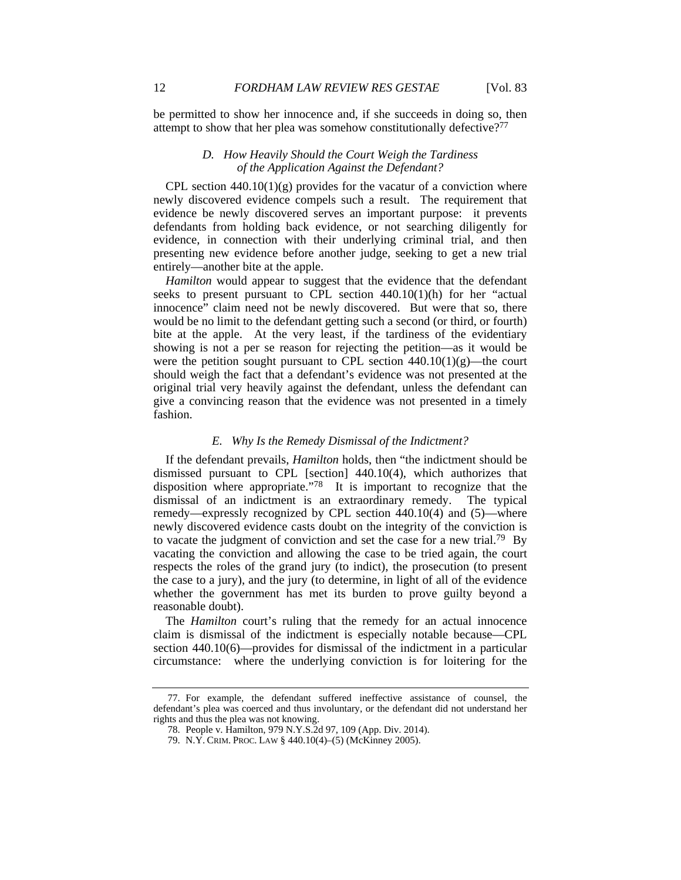be permitted to show her innocence and, if she succeeds in doing so, then attempt to show that her plea was somehow constitutionally defective?77

# *D. How Heavily Should the Court Weigh the Tardiness of the Application Against the Defendant?*

CPL section  $440.10(1)(g)$  provides for the vacatur of a conviction where newly discovered evidence compels such a result. The requirement that evidence be newly discovered serves an important purpose: it prevents defendants from holding back evidence, or not searching diligently for evidence, in connection with their underlying criminal trial, and then presenting new evidence before another judge, seeking to get a new trial entirely—another bite at the apple.

*Hamilton* would appear to suggest that the evidence that the defendant seeks to present pursuant to CPL section 440.10(1)(h) for her "actual innocence" claim need not be newly discovered. But were that so, there would be no limit to the defendant getting such a second (or third, or fourth) bite at the apple. At the very least, if the tardiness of the evidentiary showing is not a per se reason for rejecting the petition—as it would be were the petition sought pursuant to CPL section  $440.10(1)(g)$ —the court should weigh the fact that a defendant's evidence was not presented at the original trial very heavily against the defendant, unless the defendant can give a convincing reason that the evidence was not presented in a timely fashion.

# *E. Why Is the Remedy Dismissal of the Indictment?*

If the defendant prevails, *Hamilton* holds, then "the indictment should be dismissed pursuant to CPL [section] 440.10(4), which authorizes that disposition where appropriate.<sup>"78</sup> It is important to recognize that the dismissal of an indictment is an extraordinary remedy. The typical remedy—expressly recognized by CPL section 440.10(4) and (5)—where newly discovered evidence casts doubt on the integrity of the conviction is to vacate the judgment of conviction and set the case for a new trial.79 By vacating the conviction and allowing the case to be tried again, the court respects the roles of the grand jury (to indict), the prosecution (to present the case to a jury), and the jury (to determine, in light of all of the evidence whether the government has met its burden to prove guilty beyond a reasonable doubt).

The *Hamilton* court's ruling that the remedy for an actual innocence claim is dismissal of the indictment is especially notable because—CPL section 440.10(6)—provides for dismissal of the indictment in a particular circumstance: where the underlying conviction is for loitering for the

 <sup>77.</sup> For example, the defendant suffered ineffective assistance of counsel, the defendant's plea was coerced and thus involuntary, or the defendant did not understand her rights and thus the plea was not knowing.

 <sup>78.</sup> People v. Hamilton, 979 N.Y.S.2d 97, 109 (App. Div. 2014).

 <sup>79.</sup> N.Y. CRIM. PROC. LAW § 440.10(4)–(5) (McKinney 2005).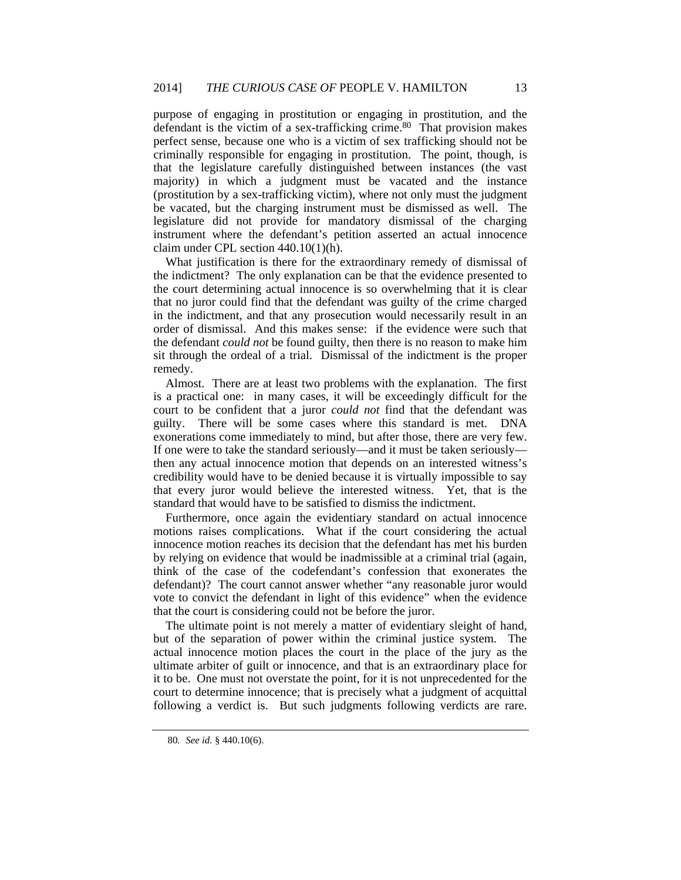purpose of engaging in prostitution or engaging in prostitution, and the defendant is the victim of a sex-trafficking crime.<sup>80</sup> That provision makes perfect sense, because one who is a victim of sex trafficking should not be criminally responsible for engaging in prostitution. The point, though, is that the legislature carefully distinguished between instances (the vast majority) in which a judgment must be vacated and the instance (prostitution by a sex-trafficking victim), where not only must the judgment be vacated, but the charging instrument must be dismissed as well. The legislature did not provide for mandatory dismissal of the charging instrument where the defendant's petition asserted an actual innocence claim under CPL section 440.10(1)(h).

What justification is there for the extraordinary remedy of dismissal of the indictment? The only explanation can be that the evidence presented to the court determining actual innocence is so overwhelming that it is clear that no juror could find that the defendant was guilty of the crime charged in the indictment, and that any prosecution would necessarily result in an order of dismissal. And this makes sense: if the evidence were such that the defendant *could not* be found guilty, then there is no reason to make him sit through the ordeal of a trial. Dismissal of the indictment is the proper remedy.

Almost. There are at least two problems with the explanation. The first is a practical one: in many cases, it will be exceedingly difficult for the court to be confident that a juror *could not* find that the defendant was guilty. There will be some cases where this standard is met. DNA exonerations come immediately to mind, but after those, there are very few. If one were to take the standard seriously—and it must be taken seriously then any actual innocence motion that depends on an interested witness's credibility would have to be denied because it is virtually impossible to say that every juror would believe the interested witness. Yet, that is the standard that would have to be satisfied to dismiss the indictment.

Furthermore, once again the evidentiary standard on actual innocence motions raises complications. What if the court considering the actual innocence motion reaches its decision that the defendant has met his burden by relying on evidence that would be inadmissible at a criminal trial (again, think of the case of the codefendant's confession that exonerates the defendant)? The court cannot answer whether "any reasonable juror would vote to convict the defendant in light of this evidence" when the evidence that the court is considering could not be before the juror.

The ultimate point is not merely a matter of evidentiary sleight of hand, but of the separation of power within the criminal justice system. The actual innocence motion places the court in the place of the jury as the ultimate arbiter of guilt or innocence, and that is an extraordinary place for it to be. One must not overstate the point, for it is not unprecedented for the court to determine innocence; that is precisely what a judgment of acquittal following a verdict is. But such judgments following verdicts are rare.

<sup>80</sup>*. See id.* § 440.10(6).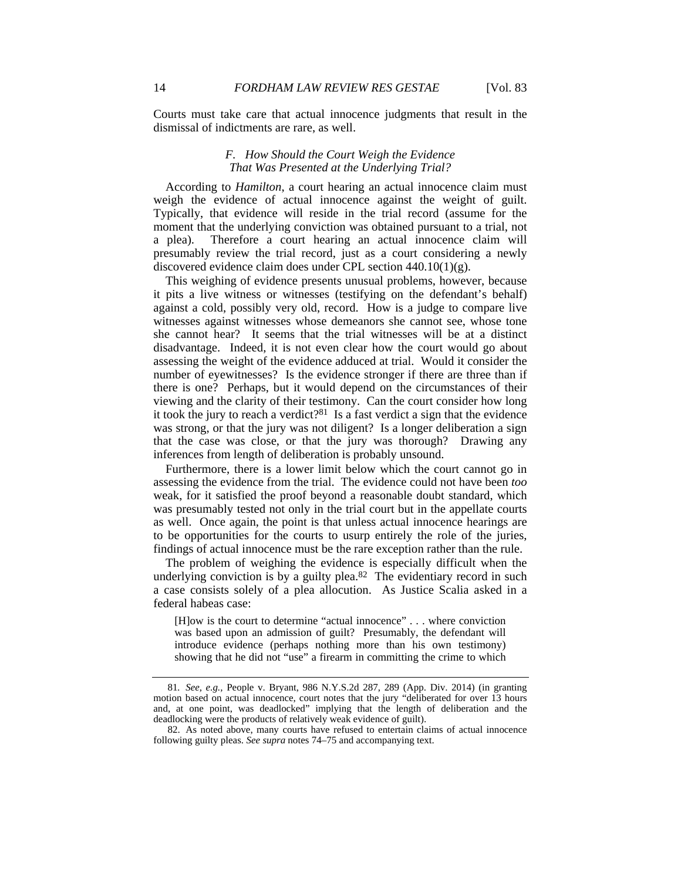Courts must take care that actual innocence judgments that result in the dismissal of indictments are rare, as well.

# *F. How Should the Court Weigh the Evidence That Was Presented at the Underlying Trial?*

According to *Hamilton*, a court hearing an actual innocence claim must weigh the evidence of actual innocence against the weight of guilt. Typically, that evidence will reside in the trial record (assume for the moment that the underlying conviction was obtained pursuant to a trial, not a plea). Therefore a court hearing an actual innocence claim will presumably review the trial record, just as a court considering a newly discovered evidence claim does under CPL section 440.10(1)(g).

This weighing of evidence presents unusual problems, however, because it pits a live witness or witnesses (testifying on the defendant's behalf) against a cold, possibly very old, record. How is a judge to compare live witnesses against witnesses whose demeanors she cannot see, whose tone she cannot hear? It seems that the trial witnesses will be at a distinct disadvantage. Indeed, it is not even clear how the court would go about assessing the weight of the evidence adduced at trial. Would it consider the number of eyewitnesses? Is the evidence stronger if there are three than if there is one? Perhaps, but it would depend on the circumstances of their viewing and the clarity of their testimony. Can the court consider how long it took the jury to reach a verdict? $81$  Is a fast verdict a sign that the evidence was strong, or that the jury was not diligent? Is a longer deliberation a sign that the case was close, or that the jury was thorough? Drawing any inferences from length of deliberation is probably unsound.

Furthermore, there is a lower limit below which the court cannot go in assessing the evidence from the trial. The evidence could not have been *too* weak, for it satisfied the proof beyond a reasonable doubt standard, which was presumably tested not only in the trial court but in the appellate courts as well. Once again, the point is that unless actual innocence hearings are to be opportunities for the courts to usurp entirely the role of the juries, findings of actual innocence must be the rare exception rather than the rule.

The problem of weighing the evidence is especially difficult when the underlying conviction is by a guilty plea. $82$  The evidentiary record in such a case consists solely of a plea allocution. As Justice Scalia asked in a federal habeas case:

[H]ow is the court to determine "actual innocence" . . . where conviction was based upon an admission of guilt? Presumably, the defendant will introduce evidence (perhaps nothing more than his own testimony) showing that he did not "use" a firearm in committing the crime to which

<sup>81</sup>*. See, e.g.,* People v. Bryant, 986 N.Y.S.2d 287, 289 (App. Div. 2014) (in granting motion based on actual innocence, court notes that the jury "deliberated for over 13 hours and, at one point, was deadlocked" implying that the length of deliberation and the deadlocking were the products of relatively weak evidence of guilt).

 <sup>82.</sup> As noted above, many courts have refused to entertain claims of actual innocence following guilty pleas. *See supra* notes 74–75 and accompanying text.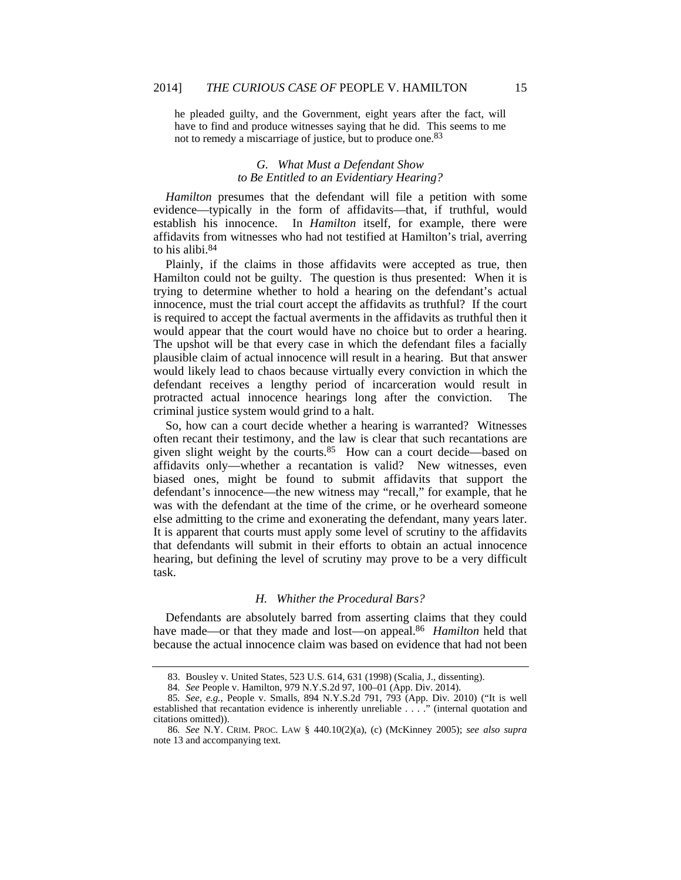he pleaded guilty, and the Government, eight years after the fact, will have to find and produce witnesses saying that he did. This seems to me not to remedy a miscarriage of justice, but to produce one.<sup>83</sup>

# *G. What Must a Defendant Show to Be Entitled to an Evidentiary Hearing?*

*Hamilton* presumes that the defendant will file a petition with some evidence—typically in the form of affidavits—that, if truthful, would establish his innocence. In *Hamilton* itself, for example, there were affidavits from witnesses who had not testified at Hamilton's trial, averring to his alibi.84

Plainly, if the claims in those affidavits were accepted as true, then Hamilton could not be guilty. The question is thus presented: When it is trying to determine whether to hold a hearing on the defendant's actual innocence, must the trial court accept the affidavits as truthful? If the court is required to accept the factual averments in the affidavits as truthful then it would appear that the court would have no choice but to order a hearing. The upshot will be that every case in which the defendant files a facially plausible claim of actual innocence will result in a hearing. But that answer would likely lead to chaos because virtually every conviction in which the defendant receives a lengthy period of incarceration would result in protracted actual innocence hearings long after the conviction. The criminal justice system would grind to a halt.

So, how can a court decide whether a hearing is warranted? Witnesses often recant their testimony, and the law is clear that such recantations are given slight weight by the courts.85 How can a court decide—based on affidavits only—whether a recantation is valid? New witnesses, even biased ones, might be found to submit affidavits that support the defendant's innocence—the new witness may "recall," for example, that he was with the defendant at the time of the crime, or he overheard someone else admitting to the crime and exonerating the defendant, many years later. It is apparent that courts must apply some level of scrutiny to the affidavits that defendants will submit in their efforts to obtain an actual innocence hearing, but defining the level of scrutiny may prove to be a very difficult task.

# *H. Whither the Procedural Bars?*

Defendants are absolutely barred from asserting claims that they could have made—or that they made and lost—on appeal.86 *Hamilton* held that because the actual innocence claim was based on evidence that had not been

 <sup>83.</sup> Bousley v. United States, 523 U.S. 614, 631 (1998) (Scalia, J., dissenting).

<sup>84</sup>*. See* People v. Hamilton, 979 N.Y.S.2d 97, 100–01 (App. Div. 2014).

<sup>85</sup>*. See, e.g.*, People v. Smalls, 894 N.Y.S.2d 791, 793 (App. Div. 2010) ("It is well established that recantation evidence is inherently unreliable . . . ." (internal quotation and citations omitted)).

<sup>86</sup>*. See* N.Y. CRIM. PROC. LAW § 440.10(2)(a), (c) (McKinney 2005); *see also supra*  note 13 and accompanying text*.*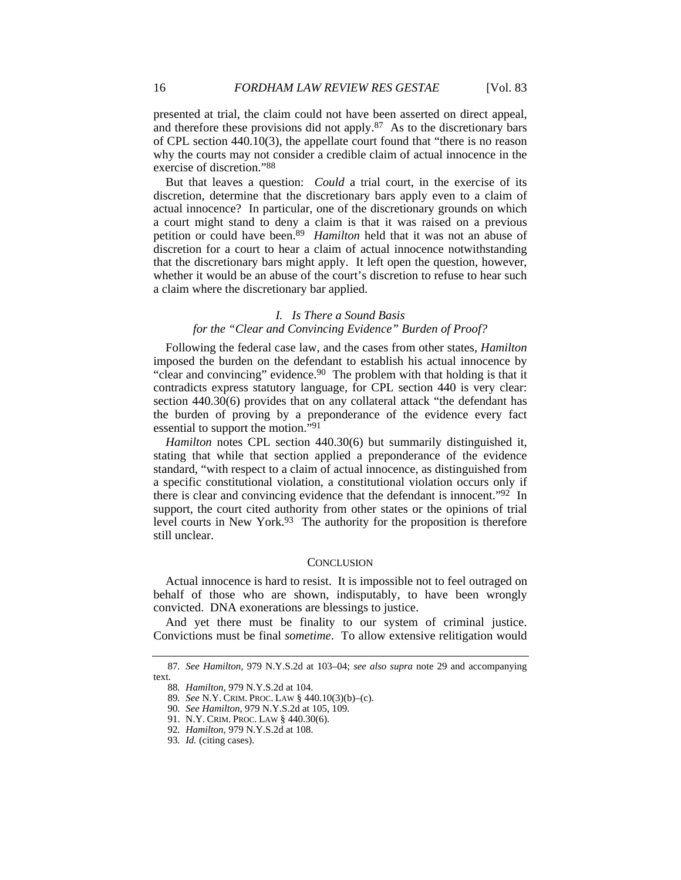presented at trial, the claim could not have been asserted on direct appeal, and therefore these provisions did not apply.87 As to the discretionary bars of CPL section 440.10(3), the appellate court found that "there is no reason why the courts may not consider a credible claim of actual innocence in the exercise of discretion."88

But that leaves a question: *Could* a trial court, in the exercise of its discretion, determine that the discretionary bars apply even to a claim of actual innocence? In particular, one of the discretionary grounds on which a court might stand to deny a claim is that it was raised on a previous petition or could have been.89 *Hamilton* held that it was not an abuse of discretion for a court to hear a claim of actual innocence notwithstanding that the discretionary bars might apply. It left open the question, however, whether it would be an abuse of the court's discretion to refuse to hear such a claim where the discretionary bar applied.

# *I. Is There a Sound Basis for the "Clear and Convincing Evidence" Burden of Proof?*

Following the federal case law, and the cases from other states, *Hamilton* imposed the burden on the defendant to establish his actual innocence by "clear and convincing" evidence.90 The problem with that holding is that it contradicts express statutory language, for CPL section 440 is very clear: section 440.30(6) provides that on any collateral attack "the defendant has the burden of proving by a preponderance of the evidence every fact essential to support the motion."91

*Hamilton* notes CPL section 440.30(6) but summarily distinguished it, stating that while that section applied a preponderance of the evidence standard, "with respect to a claim of actual innocence, as distinguished from a specific constitutional violation, a constitutional violation occurs only if there is clear and convincing evidence that the defendant is innocent."<sup>92</sup> In support, the court cited authority from other states or the opinions of trial level courts in New York.<sup>93</sup> The authority for the proposition is therefore still unclear.

## **CONCLUSION**

Actual innocence is hard to resist. It is impossible not to feel outraged on behalf of those who are shown, indisputably, to have been wrongly convicted. DNA exonerations are blessings to justice.

And yet there must be finality to our system of criminal justice. Convictions must be final *sometime*. To allow extensive relitigation would

<sup>87</sup>*. See Hamilton*, 979 N.Y.S.2d at 103–04; *see also supra* note 29 and accompanying text.

<sup>88</sup>*. Hamilton*, 979 N.Y.S.2d at 104.

<sup>89</sup>*. See* N.Y. CRIM. PROC. LAW § 440.10(3)(b)–(c).

<sup>90</sup>*. See Hamilton*, 979 N.Y.S.2d at 105, 109.

 <sup>91.</sup> N.Y. CRIM. PROC. LAW § 440.30(6).

<sup>92</sup>*. Hamilton*, 979 N.Y.S.2d at 108.

<sup>93</sup>*. Id.* (citing cases).